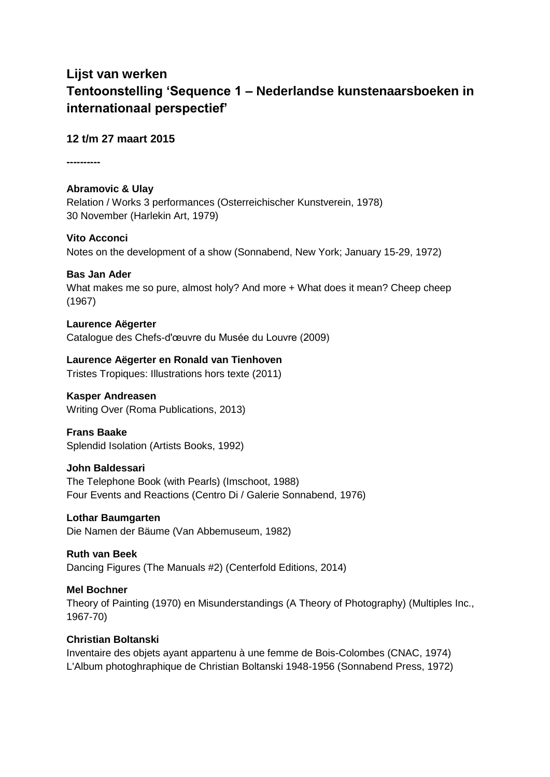# **Lijst van werken Tentoonstelling 'Sequence 1 – Nederlandse kunstenaarsboeken in internationaal perspectief'**

**12 t/m 27 maart 2015**

**----------**

# **Abramovic & Ulay**

Relation / Works 3 performances (Osterreichischer Kunstverein, 1978) 30 November (Harlekin Art, 1979)

# **Vito Acconci**

Notes on the development of a show (Sonnabend, New York; January 15-29, 1972)

# **Bas Jan Ader**

What makes me so pure, almost holy? And more + What does it mean? Cheep cheep (1967)

#### **Laurence Aëgerter**

Catalogue des Chefs-d'œuvre du Musée du Louvre (2009)

# **Laurence Aëgerter en Ronald van Tienhoven**

Tristes Tropiques: Illustrations hors texte (2011)

# **Kasper Andreasen**

Writing Over (Roma Publications, 2013)

# **Frans Baake**

Splendid Isolation (Artists Books, 1992)

#### **John Baldessari**

The Telephone Book (with Pearls) (Imschoot, 1988) Four Events and Reactions (Centro Di / Galerie Sonnabend, 1976)

# **Lothar Baumgarten**

Die Namen der Bäume (Van Abbemuseum, 1982)

# **Ruth van Beek**

Dancing Figures (The Manuals #2) (Centerfold Editions, 2014)

# **Mel Bochner**

Theory of Painting (1970) en Misunderstandings (A Theory of Photography) (Multiples Inc., 1967-70)

# **Christian Boltanski**

Inventaire des objets ayant appartenu à une femme de Bois-Colombes (CNAC, 1974) L'Album photoghraphique de Christian Boltanski 1948-1956 (Sonnabend Press, 1972)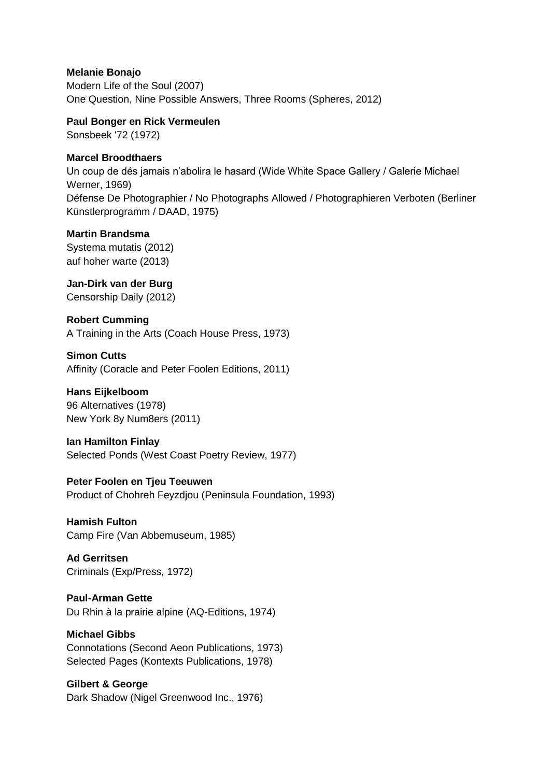# **Melanie Bonajo**

Modern Life of the Soul (2007) One Question, Nine Possible Answers, Three Rooms (Spheres, 2012)

#### **Paul Bonger en Rick Vermeulen**

Sonsbeek '72 (1972)

# **Marcel Broodthaers**

Un coup de dés jamais n'abolira le hasard (Wide White Space Gallery / Galerie Michael Werner, 1969) Défense De Photographier / No Photographs Allowed / Photographieren Verboten (Berliner Künstlerprogramm / DAAD, 1975)

# **Martin Brandsma**

Systema mutatis (2012) auf hoher warte (2013)

# **Jan-Dirk van der Burg**

Censorship Daily (2012)

# **Robert Cumming**

A Training in the Arts (Coach House Press, 1973)

# **Simon Cutts**

Affinity (Coracle and Peter Foolen Editions, 2011)

# **Hans Eijkelboom**

96 Alternatives (1978) New York 8y Num8ers (2011)

# **Ian Hamilton Finlay**

Selected Ponds (West Coast Poetry Review, 1977)

# **Peter Foolen en Tjeu Teeuwen**

Product of Chohreh Feyzdjou (Peninsula Foundation, 1993)

**Hamish Fulton** Camp Fire (Van Abbemuseum, 1985)

**Ad Gerritsen** Criminals (Exp/Press, 1972)

# **Paul-Arman Gette** Du Rhin à la prairie alpine (AQ-Editions, 1974)

#### **Michael Gibbs**

Connotations (Second Aeon Publications, 1973) Selected Pages (Kontexts Publications, 1978)

# **Gilbert & George**

Dark Shadow (Nigel Greenwood Inc., 1976)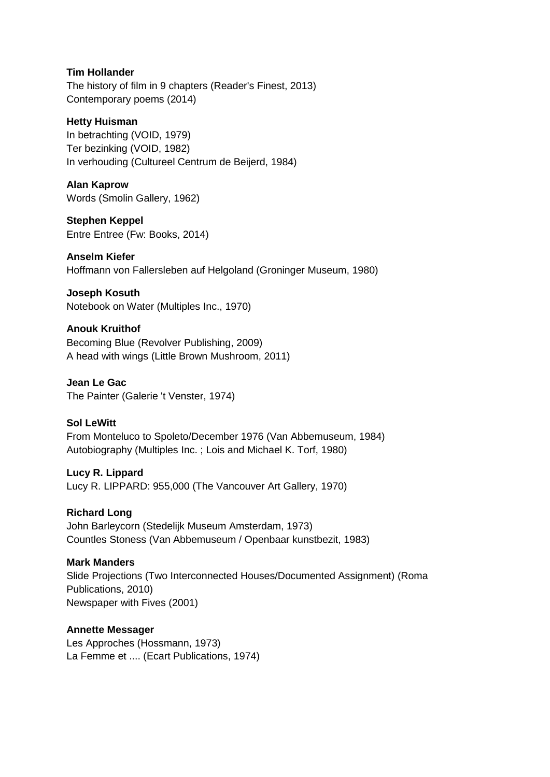# **Tim Hollander**

The history of film in 9 chapters (Reader's Finest, 2013) Contemporary poems (2014)

#### **Hetty Huisman**

In betrachting (VOID, 1979) Ter bezinking (VOID, 1982) In verhouding (Cultureel Centrum de Beijerd, 1984)

#### **Alan Kaprow**

Words (Smolin Gallery, 1962)

#### **Stephen Keppel** Entre Entree (Fw: Books, 2014)

**Anselm Kiefer**

Hoffmann von Fallersleben auf Helgoland (Groninger Museum, 1980)

**Joseph Kosuth** Notebook on Water (Multiples Inc., 1970)

# **Anouk Kruithof** Becoming Blue (Revolver Publishing, 2009) A head with wings (Little Brown Mushroom, 2011)

**Jean Le Gac** The Painter (Galerie 't Venster, 1974)

# **Sol LeWitt**

From Monteluco to Spoleto/December 1976 (Van Abbemuseum, 1984) Autobiography (Multiples Inc. ; Lois and Michael K. Torf, 1980)

# **Lucy R. Lippard** Lucy R. LIPPARD: 955,000 (The Vancouver Art Gallery, 1970)

**Richard Long** John Barleycorn (Stedelijk Museum Amsterdam, 1973) Countles Stoness (Van Abbemuseum / Openbaar kunstbezit, 1983)

#### **Mark Manders**

Slide Projections (Two Interconnected Houses/Documented Assignment) (Roma Publications, 2010) Newspaper with Fives (2001)

# **Annette Messager**

Les Approches (Hossmann, 1973) La Femme et .... (Ecart Publications, 1974)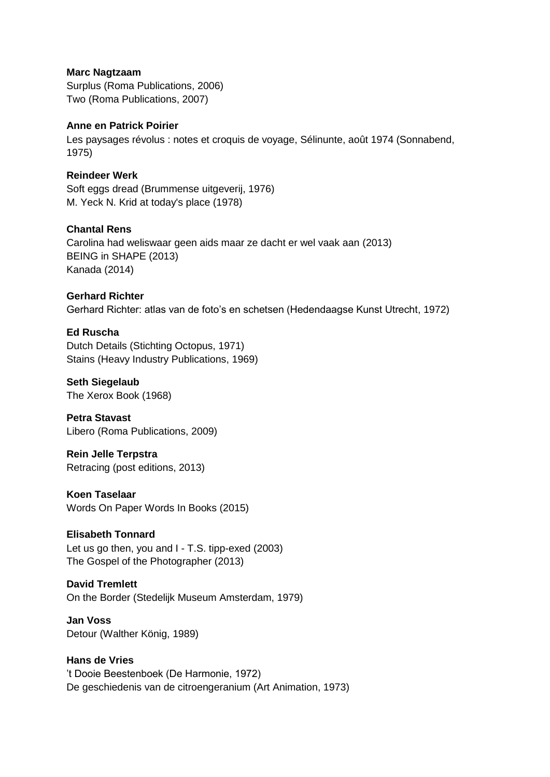#### **Marc Nagtzaam**

Surplus (Roma Publications, 2006) Two (Roma Publications, 2007)

# **Anne en Patrick Poirier**

Les paysages révolus : notes et croquis de voyage, Sélinunte, août 1974 (Sonnabend, 1975)

# **Reindeer Werk**

Soft eggs dread (Brummense uitgeverij, 1976) M. Yeck N. Krid at today's place (1978)

# **Chantal Rens**

Carolina had weliswaar geen aids maar ze dacht er wel vaak aan (2013) BEING in SHAPE (2013) Kanada (2014)

# **Gerhard Richter**

Gerhard Richter: atlas van de foto's en schetsen (Hedendaagse Kunst Utrecht, 1972)

# **Ed Ruscha**

Dutch Details (Stichting Octopus, 1971) Stains (Heavy Industry Publications, 1969)

#### **Seth Siegelaub**

The Xerox Book (1968)

**Petra Stavast** Libero (Roma Publications, 2009)

**Rein Jelle Terpstra** Retracing (post editions, 2013)

# **Koen Taselaar**

Words On Paper Words In Books (2015)

# **Elisabeth Tonnard**

Let us go then, you and I - T.S. tipp-exed (2003) The Gospel of the Photographer (2013)

# **David Tremlett**

On the Border (Stedelijk Museum Amsterdam, 1979)

# **Jan Voss** Detour (Walther König, 1989)

**Hans de Vries** 't Dooie Beestenboek (De Harmonie, 1972) De geschiedenis van de citroengeranium (Art Animation, 1973)